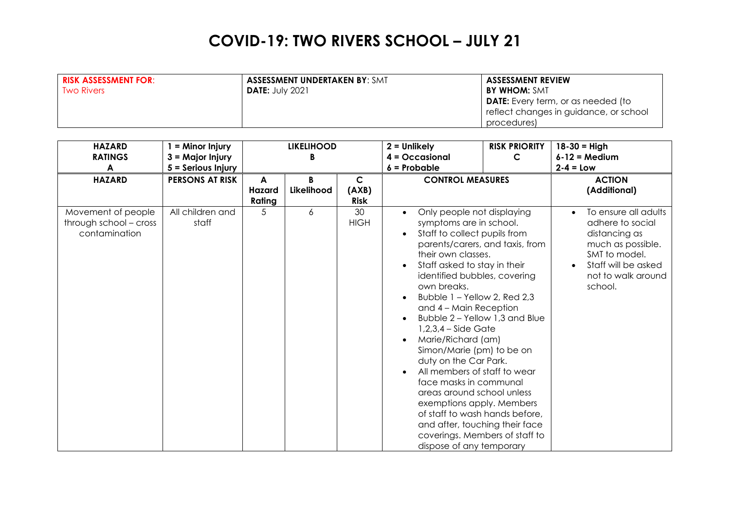| <b>RISK ASSESSMENT FOR:</b> | <b>ASSESSMENT UNDERTAKEN BY: SMT</b> | <b>ASSESSMENT REVIEW</b>                  |
|-----------------------------|--------------------------------------|-------------------------------------------|
| <b>Two Rivers</b>           | <b>DATE: July 2021</b>               | <b>BY WHOM: SMT</b>                       |
|                             |                                      | <b>DATE:</b> Every term, or as needed (to |
|                             |                                      | reflect changes in guidance, or school    |
|                             |                                      | procedures)                               |

| <b>HAZARD</b><br><b>RATINGS</b><br>A                          | $=$ Minor Injury<br>$3 =$ Major Injury<br>$5 =$ Serious Injury | <b>LIKELIHOOD</b><br>B |                 |                                      | $2 =$ Unlikely<br>$4 = Occasional$<br>$6$ = Probable                                                                                                                                                                                                                                                                                                                                                                                                                                                                                                                                                                                               | <b>RISK PRIORITY</b><br>$\mathsf{C}$ | $18 - 30 = High$<br>$6 - 12 = Medium$<br>$2 - 4 = Low$                                                                                                  |
|---------------------------------------------------------------|----------------------------------------------------------------|------------------------|-----------------|--------------------------------------|----------------------------------------------------------------------------------------------------------------------------------------------------------------------------------------------------------------------------------------------------------------------------------------------------------------------------------------------------------------------------------------------------------------------------------------------------------------------------------------------------------------------------------------------------------------------------------------------------------------------------------------------------|--------------------------------------|---------------------------------------------------------------------------------------------------------------------------------------------------------|
| <b>HAZARD</b>                                                 | <b>PERSONS AT RISK</b>                                         | A<br>Hazard<br>Rating  | B<br>Likelihood | $\mathsf{C}$<br>(AXB)<br><b>Risk</b> | <b>CONTROL MEASURES</b>                                                                                                                                                                                                                                                                                                                                                                                                                                                                                                                                                                                                                            |                                      | <b>ACTION</b><br>(Additional)                                                                                                                           |
| Movement of people<br>through school - cross<br>contamination | All children and<br>staff                                      | 5                      | 6               | 30<br><b>HIGH</b>                    | Only people not displaying<br>symptoms are in school.<br>Staff to collect pupils from<br>their own classes.<br>Staff asked to stay in their<br>identified bubbles, covering<br>own breaks.<br>Bubble 1 - Yellow 2, Red 2,3<br>and 4 - Main Reception<br>Bubble 2 - Yellow 1,3 and Blue<br>$1,2,3,4$ – Side Gate<br>Marie/Richard (am)<br>Simon/Marie (pm) to be on<br>duty on the Car Park.<br>All members of staff to wear<br>face masks in communal<br>areas around school unless<br>exemptions apply. Members<br>of staff to wash hands before,<br>and after, touching their face<br>coverings. Members of staff to<br>dispose of any temporary | parents/carers, and taxis, from      | To ensure all adults<br>adhere to social<br>distancing as<br>much as possible.<br>SMT to model.<br>Staff will be asked<br>not to walk around<br>school. |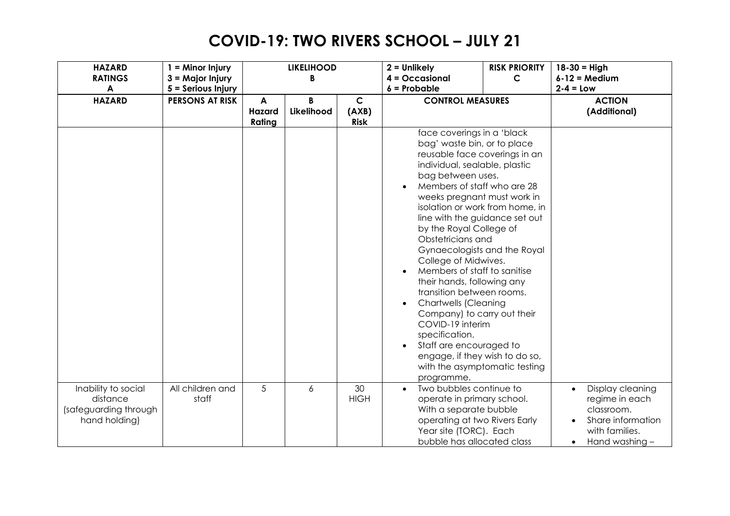| <b>HAZARD</b>         | $1 =$ Minor Injury     |        | <b>LIKELIHOOD</b> |             | $2 =$ Unlikely                                            | <b>RISK PRIORITY</b> | $18 - 30 =$ High              |
|-----------------------|------------------------|--------|-------------------|-------------|-----------------------------------------------------------|----------------------|-------------------------------|
| <b>RATINGS</b>        | 3 = Major Injury       |        | B                 |             | $4 = Occasional$                                          | C                    | $6 - 12 = Medium$             |
| $\blacktriangle$      | 5 = Serious Injury     |        |                   |             | $6$ = Probable                                            |                      | $2-4 = Low$                   |
| <b>HAZARD</b>         | <b>PERSONS AT RISK</b> | A      | B                 | $\mathbf C$ | <b>CONTROL MEASURES</b>                                   |                      | <b>ACTION</b>                 |
|                       |                        | Hazard | Likelihood        | (AXB)       |                                                           |                      | (Additional)                  |
|                       |                        | Rating |                   | <b>Risk</b> |                                                           |                      |                               |
|                       |                        |        |                   |             | face coverings in a 'black                                |                      |                               |
|                       |                        |        |                   |             | bag' waste bin, or to place                               |                      |                               |
|                       |                        |        |                   |             | reusable face coverings in an                             |                      |                               |
|                       |                        |        |                   |             | individual, sealable, plastic                             |                      |                               |
|                       |                        |        |                   |             | bag between uses.                                         |                      |                               |
|                       |                        |        |                   |             | Members of staff who are 28                               |                      |                               |
|                       |                        |        |                   |             | weeks pregnant must work in                               |                      |                               |
|                       |                        |        |                   |             | isolation or work from home, in                           |                      |                               |
|                       |                        |        |                   |             | line with the guidance set out<br>by the Royal College of |                      |                               |
|                       |                        |        |                   |             | Obstetricians and                                         |                      |                               |
|                       |                        |        |                   |             | Gynaecologists and the Royal                              |                      |                               |
|                       |                        |        |                   |             | College of Midwives.                                      |                      |                               |
|                       |                        |        |                   |             | Members of staff to sanitise                              |                      |                               |
|                       |                        |        |                   |             | their hands, following any                                |                      |                               |
|                       |                        |        |                   |             | transition between rooms.                                 |                      |                               |
|                       |                        |        |                   |             | <b>Chartwells (Cleaning</b>                               |                      |                               |
|                       |                        |        |                   |             | Company) to carry out their                               |                      |                               |
|                       |                        |        |                   |             | COVID-19 interim                                          |                      |                               |
|                       |                        |        |                   |             | specification.                                            |                      |                               |
|                       |                        |        |                   |             | Staff are encouraged to<br>$\bullet$                      |                      |                               |
|                       |                        |        |                   |             | engage, if they wish to do so,                            |                      |                               |
|                       |                        |        |                   |             | with the asymptomatic testing                             |                      |                               |
|                       |                        |        |                   |             | programme.                                                |                      |                               |
| Inability to social   | All children and       | 5      | 6                 | 30          | Two bubbles continue to<br>$\bullet$                      |                      | Display cleaning<br>$\bullet$ |
| distance              | staff                  |        |                   | <b>HIGH</b> | operate in primary school.                                |                      | regime in each                |
| (safeguarding through |                        |        |                   |             | With a separate bubble                                    |                      | classroom.                    |
| hand holding)         |                        |        |                   |             | operating at two Rivers Early                             |                      | Share information             |
|                       |                        |        |                   |             | Year site (TORC). Each                                    |                      | with families.                |
|                       |                        |        |                   |             | bubble has allocated class                                |                      | Hand washing -<br>٠           |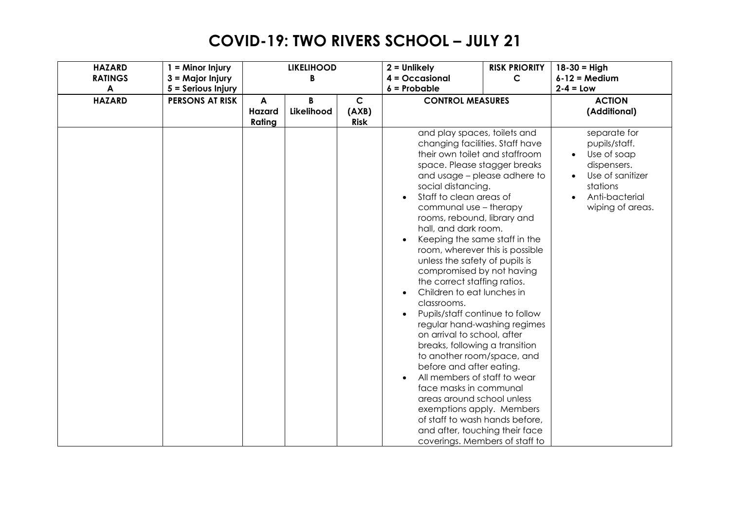| <b>HAZARD</b>    | $1 =$ Minor Injury     |        | <b>LIKELIHOOD</b> |             | $2 =$ Unlikely                                                                                                                                                                                                                                                                                                                                                                                                                                                                                                                                                                                                                                                                                                                                                                                                                                                                                                                                                         | <b>RISK PRIORITY</b> | $18 - 30 =$ High                                                                                                                                            |
|------------------|------------------------|--------|-------------------|-------------|------------------------------------------------------------------------------------------------------------------------------------------------------------------------------------------------------------------------------------------------------------------------------------------------------------------------------------------------------------------------------------------------------------------------------------------------------------------------------------------------------------------------------------------------------------------------------------------------------------------------------------------------------------------------------------------------------------------------------------------------------------------------------------------------------------------------------------------------------------------------------------------------------------------------------------------------------------------------|----------------------|-------------------------------------------------------------------------------------------------------------------------------------------------------------|
| <b>RATINGS</b>   | $3 =$ Major Injury     |        | B                 |             | $4 = Occasional$                                                                                                                                                                                                                                                                                                                                                                                                                                                                                                                                                                                                                                                                                                                                                                                                                                                                                                                                                       | C                    | $6 - 12 = Medium$                                                                                                                                           |
| $\boldsymbol{A}$ | 5 = Serious Injury     |        |                   |             | $6$ = Probable                                                                                                                                                                                                                                                                                                                                                                                                                                                                                                                                                                                                                                                                                                                                                                                                                                                                                                                                                         |                      | $2-4 = Low$                                                                                                                                                 |
| <b>HAZARD</b>    | <b>PERSONS AT RISK</b> | A      | B                 | $\mathsf C$ | <b>CONTROL MEASURES</b>                                                                                                                                                                                                                                                                                                                                                                                                                                                                                                                                                                                                                                                                                                                                                                                                                                                                                                                                                |                      | <b>ACTION</b>                                                                                                                                               |
|                  |                        | Hazard | Likelihood        | (AXB)       |                                                                                                                                                                                                                                                                                                                                                                                                                                                                                                                                                                                                                                                                                                                                                                                                                                                                                                                                                                        |                      | (Additional)                                                                                                                                                |
|                  |                        | Rating |                   | <b>Risk</b> |                                                                                                                                                                                                                                                                                                                                                                                                                                                                                                                                                                                                                                                                                                                                                                                                                                                                                                                                                                        |                      |                                                                                                                                                             |
|                  |                        |        |                   |             | and play spaces, toilets and<br>changing facilities. Staff have<br>their own toilet and staffroom<br>space. Please stagger breaks<br>and usage - please adhere to<br>social distancing.<br>Staff to clean areas of<br>$\bullet$<br>communal use - therapy<br>rooms, rebound, library and<br>hall, and dark room.<br>Keeping the same staff in the<br>room, wherever this is possible<br>unless the safety of pupils is<br>compromised by not having<br>the correct staffing ratios.<br>Children to eat lunches in<br>classrooms.<br>Pupils/staff continue to follow<br>regular hand-washing regimes<br>on arrival to school, after<br>breaks, following a transition<br>to another room/space, and<br>before and after eating.<br>All members of staff to wear<br>$\bullet$<br>face masks in communal<br>areas around school unless<br>exemptions apply. Members<br>of staff to wash hands before,<br>and after, touching their face<br>coverings. Members of staff to |                      | separate for<br>pupils/staff.<br>Use of soap<br>$\bullet$<br>dispensers.<br>Use of sanitizer<br>$\bullet$<br>stations<br>Anti-bacterial<br>wiping of areas. |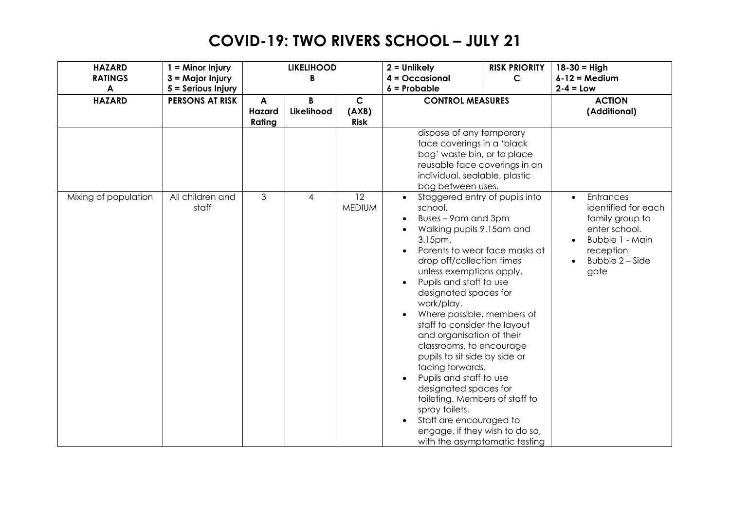| <b>HAZARD</b><br><b>RATINGS</b> | $1 =$ Minor Injury                     |                       | <b>LIKELIHOOD</b><br>B |                                      | $2 =$ Unlikely<br>$4 = Occasional$                                                                                                                                                                                                                                                                                                                                                                                                                                                                                                                                                                                                                     | <b>RISK PRIORITY</b><br>$\mathsf{C}$ | $18 - 30 =$ High<br>$6 - 12 = Medium$                                                                                                        |
|---------------------------------|----------------------------------------|-----------------------|------------------------|--------------------------------------|--------------------------------------------------------------------------------------------------------------------------------------------------------------------------------------------------------------------------------------------------------------------------------------------------------------------------------------------------------------------------------------------------------------------------------------------------------------------------------------------------------------------------------------------------------------------------------------------------------------------------------------------------------|--------------------------------------|----------------------------------------------------------------------------------------------------------------------------------------------|
| A                               | 3 = Major Injury<br>5 = Serious Injury |                       |                        |                                      | $6$ = Probable                                                                                                                                                                                                                                                                                                                                                                                                                                                                                                                                                                                                                                         |                                      | $2-4 = Low$                                                                                                                                  |
| <b>HAZARD</b>                   | <b>PERSONS AT RISK</b>                 | A<br>Hazard<br>Rating | R<br>Likelihood        | $\mathsf{C}$<br>(AXB)<br><b>Risk</b> | <b>CONTROL MEASURES</b>                                                                                                                                                                                                                                                                                                                                                                                                                                                                                                                                                                                                                                |                                      | <b>ACTION</b><br>(Additional)                                                                                                                |
|                                 |                                        |                       |                        |                                      | dispose of any temporary<br>face coverings in a 'black<br>bag' waste bin, or to place<br>reusable face coverings in an<br>individual, sealable, plastic<br>bag between uses.                                                                                                                                                                                                                                                                                                                                                                                                                                                                           |                                      |                                                                                                                                              |
| Mixing of population            | All children and<br>staff              | 3                     | 4                      | 12<br><b>MEDIUM</b>                  | Staggered entry of pupils into<br>school.<br>Buses - 9am and 3pm<br>Walking pupils 9.15am and<br>3.15pm.<br>Parents to wear face masks at<br>drop off/collection times<br>unless exemptions apply.<br>Pupils and staff to use<br>designated spaces for<br>work/play.<br>Where possible, members of<br>staff to consider the layout<br>and organisation of their<br>classrooms, to encourage<br>pupils to sit side by side or<br>facing forwards.<br>Pupils and staff to use<br>designated spaces for<br>toileting. Members of staff to<br>spray toilets.<br>Staff are encouraged to<br>engage, if they wish to do so,<br>with the asymptomatic testing |                                      | Entrances<br>$\bullet$<br>identified for each<br>family group to<br>enter school.<br>Bubble 1 - Main<br>reception<br>Bubble 2 - Side<br>gate |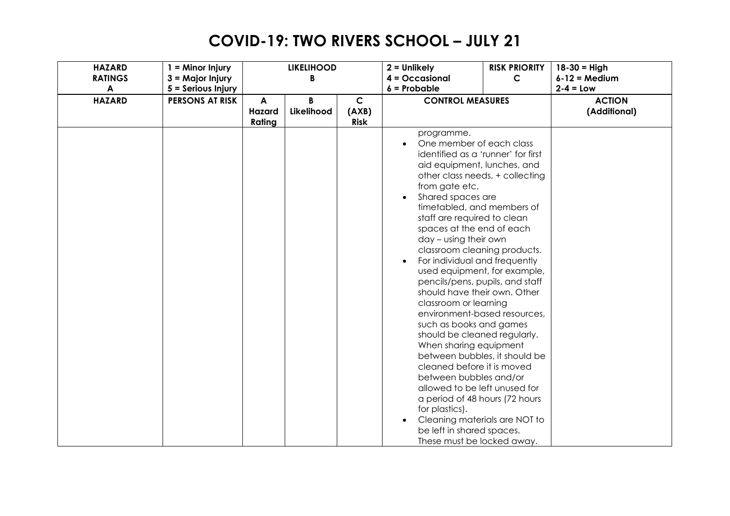| <b>HAZARD</b>    | $1 =$ Minor Injury     |        | <b>LIKELIHOOD</b> |              | $2 =$ Unlikely                                                                                                                                                                                                                                                                                                                                                                                                                                                                                                                                                                                                                                                                                                                                                                                                                                                                                       | <b>RISK PRIORITY</b> | $18 - 30 =$ High |
|------------------|------------------------|--------|-------------------|--------------|------------------------------------------------------------------------------------------------------------------------------------------------------------------------------------------------------------------------------------------------------------------------------------------------------------------------------------------------------------------------------------------------------------------------------------------------------------------------------------------------------------------------------------------------------------------------------------------------------------------------------------------------------------------------------------------------------------------------------------------------------------------------------------------------------------------------------------------------------------------------------------------------------|----------------------|------------------|
| <b>RATINGS</b>   | 3 = Major Injury       |        | B                 |              | $4 = Occasional$                                                                                                                                                                                                                                                                                                                                                                                                                                                                                                                                                                                                                                                                                                                                                                                                                                                                                     | $\mathsf{C}$         | $6-12$ = Medium  |
| $\blacktriangle$ | 5 = Serious Injury     |        |                   |              | $6$ = Probable                                                                                                                                                                                                                                                                                                                                                                                                                                                                                                                                                                                                                                                                                                                                                                                                                                                                                       |                      | $2-4 = Low$      |
| <b>HAZARD</b>    | <b>PERSONS AT RISK</b> | A      | B                 | $\mathsf{C}$ | <b>CONTROL MEASURES</b>                                                                                                                                                                                                                                                                                                                                                                                                                                                                                                                                                                                                                                                                                                                                                                                                                                                                              |                      | <b>ACTION</b>    |
|                  |                        | Hazard | Likelihood        | (AXB)        |                                                                                                                                                                                                                                                                                                                                                                                                                                                                                                                                                                                                                                                                                                                                                                                                                                                                                                      |                      | (Additional)     |
|                  |                        | Rating |                   | <b>Risk</b>  |                                                                                                                                                                                                                                                                                                                                                                                                                                                                                                                                                                                                                                                                                                                                                                                                                                                                                                      |                      |                  |
|                  |                        |        |                   |              | programme.<br>One member of each class<br>identified as a 'runner' for first<br>aid equipment, lunches, and<br>other class needs, + collecting<br>from gate etc.<br>Shared spaces are<br>timetabled, and members of<br>staff are required to clean<br>spaces at the end of each<br>day - using their own<br>classroom cleaning products.<br>For individual and frequently<br>used equipment, for example,<br>pencils/pens, pupils, and staff<br>should have their own. Other<br>classroom or learning<br>environment-based resources,<br>such as books and games<br>should be cleaned regularly.<br>When sharing equipment<br>between bubbles, it should be<br>cleaned before it is moved<br>between bubbles and/or<br>allowed to be left unused for<br>a period of 48 hours (72 hours<br>for plastics).<br>Cleaning materials are NOT to<br>be left in shared spaces.<br>These must be locked away. |                      |                  |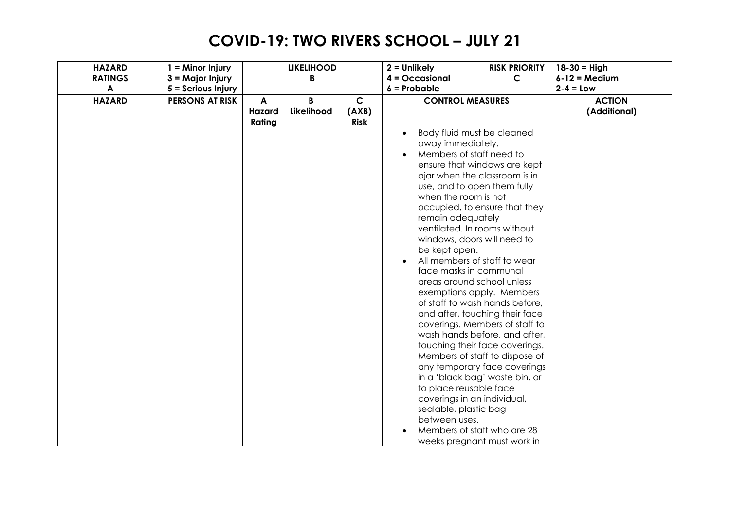| <b>HAZARD</b>  | $1 =$ Minor Injury     |        | <b>LIKELIHOOD</b> |              | $2 =$ Unlikely                 | <b>RISK PRIORITY</b> | $18 - 30 =$ High |
|----------------|------------------------|--------|-------------------|--------------|--------------------------------|----------------------|------------------|
| <b>RATINGS</b> | $3 =$ Major Injury     |        | B                 |              | $4 = Occasional$               | $\mathsf{C}$         | $6-12$ = Medium  |
| A              | 5 = Serious Injury     |        |                   |              | $6$ = Probable                 |                      | $2-4 = Low$      |
| <b>HAZARD</b>  | <b>PERSONS AT RISK</b> | A      | B                 | $\mathsf{C}$ | <b>CONTROL MEASURES</b>        |                      | <b>ACTION</b>    |
|                |                        | Hazard | Likelihood        | (AXB)        |                                |                      | (Additional)     |
|                |                        | Rating |                   | <b>Risk</b>  |                                |                      |                  |
|                |                        |        |                   |              | Body fluid must be cleaned     |                      |                  |
|                |                        |        |                   |              | away immediately.              |                      |                  |
|                |                        |        |                   |              | Members of staff need to       |                      |                  |
|                |                        |        |                   |              | ensure that windows are kept   |                      |                  |
|                |                        |        |                   |              | ajar when the classroom is in  |                      |                  |
|                |                        |        |                   |              | use, and to open them fully    |                      |                  |
|                |                        |        |                   |              | when the room is not           |                      |                  |
|                |                        |        |                   |              | occupied, to ensure that they  |                      |                  |
|                |                        |        |                   |              | remain adequately              |                      |                  |
|                |                        |        |                   |              | ventilated. In rooms without   |                      |                  |
|                |                        |        |                   |              | windows, doors will need to    |                      |                  |
|                |                        |        |                   |              | be kept open.                  |                      |                  |
|                |                        |        |                   |              | All members of staff to wear   |                      |                  |
|                |                        |        |                   |              | face masks in communal         |                      |                  |
|                |                        |        |                   |              | areas around school unless     |                      |                  |
|                |                        |        |                   |              | exemptions apply. Members      |                      |                  |
|                |                        |        |                   |              | of staff to wash hands before, |                      |                  |
|                |                        |        |                   |              | and after, touching their face |                      |                  |
|                |                        |        |                   |              | coverings. Members of staff to |                      |                  |
|                |                        |        |                   |              | wash hands before, and after,  |                      |                  |
|                |                        |        |                   |              | touching their face coverings. |                      |                  |
|                |                        |        |                   |              | Members of staff to dispose of |                      |                  |
|                |                        |        |                   |              | any temporary face coverings   |                      |                  |
|                |                        |        |                   |              | in a 'black bag' waste bin, or |                      |                  |
|                |                        |        |                   |              | to place reusable face         |                      |                  |
|                |                        |        |                   |              | coverings in an individual,    |                      |                  |
|                |                        |        |                   |              | sealable, plastic bag          |                      |                  |
|                |                        |        |                   |              | between uses.                  |                      |                  |
|                |                        |        |                   |              | Members of staff who are 28    |                      |                  |
|                |                        |        |                   |              | weeks pregnant must work in    |                      |                  |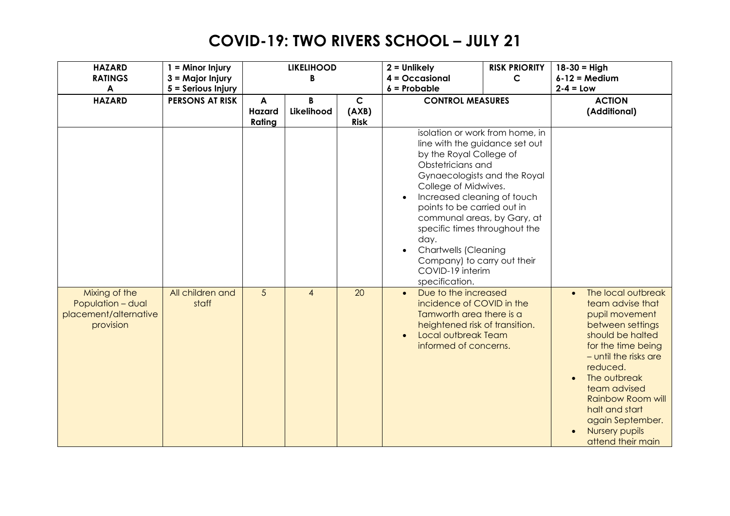| <b>HAZARD</b><br><b>RATINGS</b><br>$\blacktriangle$                      | $1 =$ Minor Injury<br>3 = Major Injury<br>5 = Serious Injury |                       | <b>LIKELIHOOD</b><br>B |                                     | $2 =$ Unlikely<br>$4 = Occasional$<br>$6$ = Probable                                                                                                                                                                                                                                                                                                                                                                | <b>RISK PRIORITY</b><br>$\mathsf{C}$ | $18 - 30 =$ High<br>$6-12$ = Medium<br>$2-4 = Low$                                                                                                                                                                                                                                                   |
|--------------------------------------------------------------------------|--------------------------------------------------------------|-----------------------|------------------------|-------------------------------------|---------------------------------------------------------------------------------------------------------------------------------------------------------------------------------------------------------------------------------------------------------------------------------------------------------------------------------------------------------------------------------------------------------------------|--------------------------------------|------------------------------------------------------------------------------------------------------------------------------------------------------------------------------------------------------------------------------------------------------------------------------------------------------|
| <b>HAZARD</b>                                                            | <b>PERSONS AT RISK</b>                                       | A<br>Hazard<br>Rating | B<br>Likelihood        | $\mathbf C$<br>(AXB)<br><b>Risk</b> | <b>CONTROL MEASURES</b>                                                                                                                                                                                                                                                                                                                                                                                             |                                      | <b>ACTION</b><br>(Additional)                                                                                                                                                                                                                                                                        |
|                                                                          |                                                              |                       |                        |                                     | isolation or work from home, in<br>line with the guidance set out<br>by the Royal College of<br>Obstetricians and<br>Gynaecologists and the Royal<br>College of Midwives.<br>Increased cleaning of touch<br>points to be carried out in<br>communal areas, by Gary, at<br>specific times throughout the<br>day.<br><b>Chartwells (Cleaning</b><br>Company) to carry out their<br>COVID-19 interim<br>specification. |                                      |                                                                                                                                                                                                                                                                                                      |
| Mixing of the<br>Population - dual<br>placement/alternative<br>provision | All children and<br>staff                                    | 5                     | $\overline{4}$         | 20                                  | Due to the increased<br>incidence of COVID in the<br>Tamworth area there is a<br>heightened risk of transition.<br>Local outbreak Team<br>$\bullet$<br>informed of concerns.                                                                                                                                                                                                                                        |                                      | The local outbreak<br>team advise that<br>pupil movement<br>between settings<br>should be halted<br>for the time being<br>- until the risks are<br>reduced.<br>The outbreak<br>team advised<br><b>Rainbow Room will</b><br>halt and start<br>again September.<br>Nursery pupils<br>attend their main |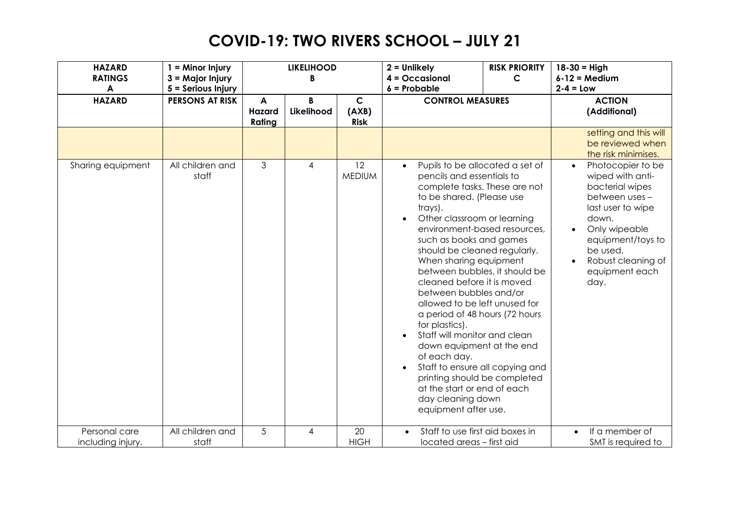| <b>HAZARD</b><br><b>RATINGS</b>    | $1 =$ Minor Injury<br>3 = Major Injury       |                       | <b>LIKELIHOOD</b><br>B |                                      | $2 =$ Unlikely<br>$4 = Occasional$                                                                                                                                                                                                                                                                                                                                                                                                                                                                                                                                                                                                                                                                                            | <b>RISK PRIORITY</b><br>$\mathsf{C}$ | $18 - 30 =$ High<br>$6 - 12 = Medium$                                                                                                                                                                      |
|------------------------------------|----------------------------------------------|-----------------------|------------------------|--------------------------------------|-------------------------------------------------------------------------------------------------------------------------------------------------------------------------------------------------------------------------------------------------------------------------------------------------------------------------------------------------------------------------------------------------------------------------------------------------------------------------------------------------------------------------------------------------------------------------------------------------------------------------------------------------------------------------------------------------------------------------------|--------------------------------------|------------------------------------------------------------------------------------------------------------------------------------------------------------------------------------------------------------|
| A<br><b>HAZARD</b>                 | 5 = Serious Injury<br><b>PERSONS AT RISK</b> | A<br>Hazard<br>Rating | B<br>Likelihood        | $\mathsf{C}$<br>(AXB)<br><b>Risk</b> | $6$ = Probable<br><b>CONTROL MEASURES</b>                                                                                                                                                                                                                                                                                                                                                                                                                                                                                                                                                                                                                                                                                     |                                      | $2-4 = Low$<br><b>ACTION</b><br>(Additional)                                                                                                                                                               |
|                                    |                                              |                       |                        |                                      |                                                                                                                                                                                                                                                                                                                                                                                                                                                                                                                                                                                                                                                                                                                               |                                      | setting and this will<br>be reviewed when<br>the risk minimises.                                                                                                                                           |
| Sharing equipment                  | All children and<br>staff                    | $\mathfrak{Z}$        | 4                      | 12<br><b>MEDIUM</b>                  | Pupils to be allocated a set of<br>$\bullet$<br>pencils and essentials to<br>complete tasks. These are not<br>to be shared. (Please use<br>trays).<br>Other classroom or learning<br>environment-based resources,<br>such as books and games<br>should be cleaned regularly.<br>When sharing equipment<br>between bubbles, it should be<br>cleaned before it is moved<br>between bubbles and/or<br>allowed to be left unused for<br>a period of 48 hours (72 hours<br>for plastics).<br>Staff will monitor and clean<br>down equipment at the end<br>of each day.<br>Staff to ensure all copying and<br>$\bullet$<br>printing should be completed<br>at the start or end of each<br>day cleaning down<br>equipment after use. |                                      | Photocopier to be<br>wiped with anti-<br>bacterial wipes<br>between uses -<br>last user to wipe<br>down.<br>Only wipeable<br>equipment/toys to<br>be used.<br>Robust cleaning of<br>equipment each<br>day. |
| Personal care<br>including injury. | All children and<br>staff                    | 5                     | 4                      | 20<br><b>HIGH</b>                    | Staff to use first aid boxes in<br>$\bullet$<br>located areas - first aid                                                                                                                                                                                                                                                                                                                                                                                                                                                                                                                                                                                                                                                     |                                      | If a member of<br>$\bullet$<br>SMT is required to                                                                                                                                                          |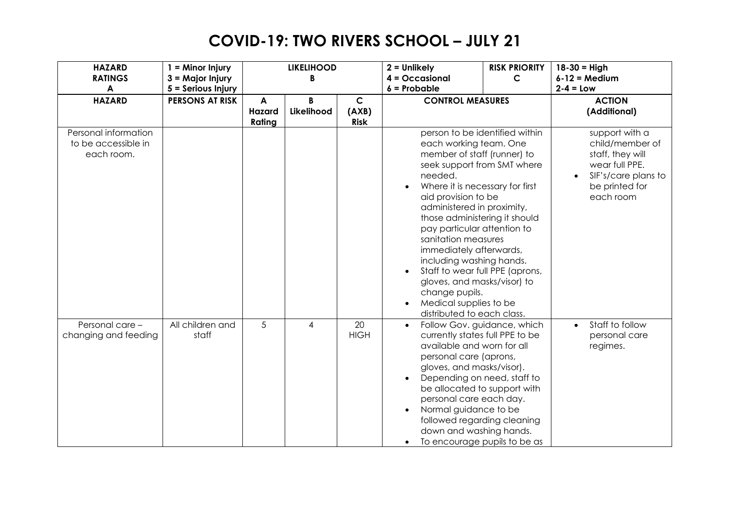| <b>HAZARD</b><br><b>RATINGS</b><br>A                      | $1 =$ Minor Injury<br>$3 =$ Major Injury<br>5 = Serious Injury |                       | <b>LIKELIHOOD</b><br>B |                                      | $2 =$ Unlikely<br>$4 = Occasional$<br>$6$ = Probable                                                                                                                                                                                                                                                                                                                                                                                                                                                                                                       | <b>RISK PRIORITY</b><br>$\mathsf{C}$ | $18 - 30 =$ High<br>$6 - 12 = Medium$<br>$2-4 = Low$                                                                          |
|-----------------------------------------------------------|----------------------------------------------------------------|-----------------------|------------------------|--------------------------------------|------------------------------------------------------------------------------------------------------------------------------------------------------------------------------------------------------------------------------------------------------------------------------------------------------------------------------------------------------------------------------------------------------------------------------------------------------------------------------------------------------------------------------------------------------------|--------------------------------------|-------------------------------------------------------------------------------------------------------------------------------|
| <b>HAZARD</b>                                             | <b>PERSONS AT RISK</b>                                         | A<br>Hazard<br>Rating | B<br>Likelihood        | $\mathsf{C}$<br>(AXB)<br><b>Risk</b> | <b>CONTROL MEASURES</b>                                                                                                                                                                                                                                                                                                                                                                                                                                                                                                                                    |                                      | <b>ACTION</b><br>(Additional)                                                                                                 |
| Personal information<br>to be accessible in<br>each room. |                                                                |                       |                        |                                      | person to be identified within<br>each working team. One<br>member of staff (runner) to<br>seek support from SMT where<br>needed.<br>Where it is necessary for first<br>$\bullet$<br>aid provision to be<br>administered in proximity,<br>those administering it should<br>pay particular attention to<br>sanitation measures<br>immediately afterwards,<br>including washing hands.<br>Staff to wear full PPE (aprons,<br>$\bullet$<br>gloves, and masks/visor) to<br>change pupils.<br>Medical supplies to be<br>$\bullet$<br>distributed to each class. |                                      | support with a<br>child/member of<br>staff, they will<br>wear full PPE.<br>SIF's/care plans to<br>be printed for<br>each room |
| Personal care -<br>changing and feeding                   | All children and<br>staff                                      | 5                     | 4                      | 20<br><b>HIGH</b>                    | $\bullet$<br>currently states full PPE to be<br>available and worn for all<br>personal care (aprons,<br>gloves, and masks/visor).<br>Depending on need, staff to<br>$\bullet$<br>be allocated to support with<br>personal care each day.<br>Normal guidance to be<br>followed regarding cleaning<br>down and washing hands.<br>To encourage pupils to be as                                                                                                                                                                                                | Follow Gov. guidance, which          | Staff to follow<br>$\bullet$<br>personal care<br>regimes.                                                                     |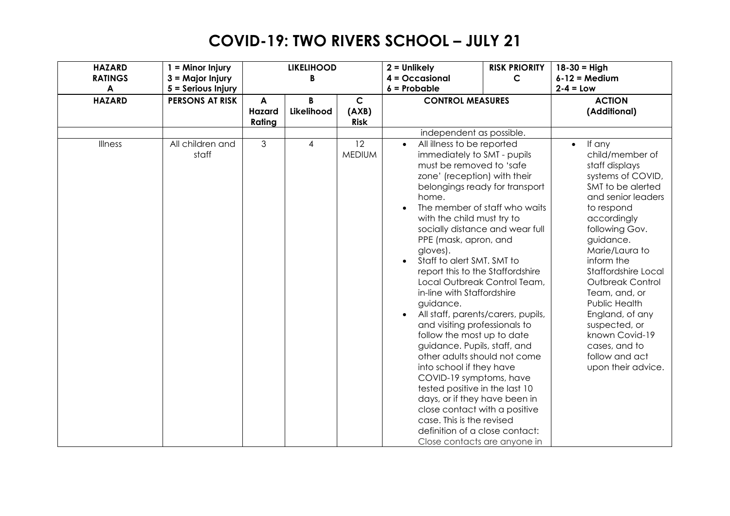| <b>HAZARD</b><br><b>RATINGS</b> | $1 =$ Minor Injury<br>3 = Major Injury |                       | <b>LIKELIHOOD</b><br>B |                                      | $2 =$ Unlikely<br>$4 = Occasional$                                                                                                                                                                                                                                                                                                                                                                                                                                                                                                                                                                                                                                                                                                                                                                                                                                                                                         | <b>RISK PRIORITY</b><br>$\mathsf{C}$ | $18 - 30 =$ High<br>$6 - 12 = Medium$                                                                                                                                                                                                                                                                                                                                                                            |
|---------------------------------|----------------------------------------|-----------------------|------------------------|--------------------------------------|----------------------------------------------------------------------------------------------------------------------------------------------------------------------------------------------------------------------------------------------------------------------------------------------------------------------------------------------------------------------------------------------------------------------------------------------------------------------------------------------------------------------------------------------------------------------------------------------------------------------------------------------------------------------------------------------------------------------------------------------------------------------------------------------------------------------------------------------------------------------------------------------------------------------------|--------------------------------------|------------------------------------------------------------------------------------------------------------------------------------------------------------------------------------------------------------------------------------------------------------------------------------------------------------------------------------------------------------------------------------------------------------------|
| $\blacktriangle$                | 5 = Serious Injury                     |                       |                        |                                      | $6$ = Probable                                                                                                                                                                                                                                                                                                                                                                                                                                                                                                                                                                                                                                                                                                                                                                                                                                                                                                             |                                      | $2 - 4 = Low$                                                                                                                                                                                                                                                                                                                                                                                                    |
| <b>HAZARD</b>                   | <b>PERSONS AT RISK</b>                 | A<br>Hazard<br>Rating | B<br>Likelihood        | $\mathsf{C}$<br>(AXB)<br><b>Risk</b> | <b>CONTROL MEASURES</b>                                                                                                                                                                                                                                                                                                                                                                                                                                                                                                                                                                                                                                                                                                                                                                                                                                                                                                    |                                      | <b>ACTION</b><br>(Additional)                                                                                                                                                                                                                                                                                                                                                                                    |
|                                 |                                        |                       |                        |                                      | independent as possible.                                                                                                                                                                                                                                                                                                                                                                                                                                                                                                                                                                                                                                                                                                                                                                                                                                                                                                   |                                      |                                                                                                                                                                                                                                                                                                                                                                                                                  |
| Illness                         | All children and<br>staff              | 3                     | 4                      | 12<br><b>MEDIUM</b>                  | All illness to be reported<br>$\bullet$<br>immediately to SMT - pupils<br>must be removed to 'safe<br>zone' (reception) with their<br>belongings ready for transport<br>home.<br>The member of staff who waits<br>with the child must try to<br>socially distance and wear full<br>PPE (mask, apron, and<br>gloves).<br>Staff to alert SMT. SMT to<br>$\bullet$<br>report this to the Staffordshire<br>Local Outbreak Control Team,<br>in-line with Staffordshire<br>guidance.<br>All staff, parents/carers, pupils,<br>$\bullet$<br>and visiting professionals to<br>follow the most up to date<br>guidance. Pupils, staff, and<br>other adults should not come<br>into school if they have<br>COVID-19 symptoms, have<br>tested positive in the last 10<br>days, or if they have been in<br>close contact with a positive<br>case. This is the revised<br>definition of a close contact:<br>Close contacts are anyone in |                                      | If any<br>$\bullet$<br>child/member of<br>staff displays<br>systems of COVID,<br>SMT to be alerted<br>and senior leaders<br>to respond<br>accordingly<br>following Gov.<br>guidance.<br>Marie/Laura to<br>inform the<br>Staffordshire Local<br>Outbreak Control<br>Team, and, or<br>Public Health<br>England, of any<br>suspected, or<br>known Covid-19<br>cases, and to<br>follow and act<br>upon their advice. |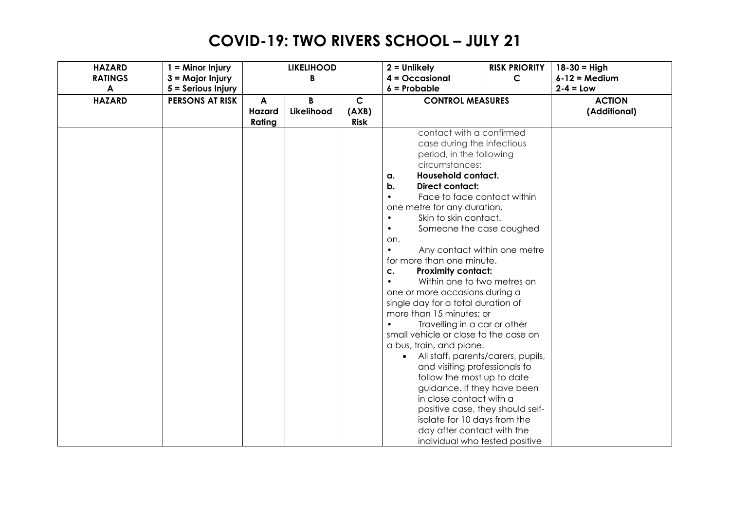| <b>HAZARD</b><br><b>RATINGS</b> | $1 =$ Minor Injury<br>$3 =$ Major Injury |                       | <b>LIKELIHOOD</b><br>B |                                      | $2 =$ Unlikely<br>$4 = Occasional$                                                                                                                                                                                                                                                                                                                                                                                                                                                                                                                                                                                                                                                                                                                                                                                                                                | <b>RISK PRIORITY</b><br>$\mathsf{C}$                                                                                                     | $18 - 30 =$ High<br>$6-12$ = Medium |
|---------------------------------|------------------------------------------|-----------------------|------------------------|--------------------------------------|-------------------------------------------------------------------------------------------------------------------------------------------------------------------------------------------------------------------------------------------------------------------------------------------------------------------------------------------------------------------------------------------------------------------------------------------------------------------------------------------------------------------------------------------------------------------------------------------------------------------------------------------------------------------------------------------------------------------------------------------------------------------------------------------------------------------------------------------------------------------|------------------------------------------------------------------------------------------------------------------------------------------|-------------------------------------|
| A                               | 5 = Serious Injury                       |                       |                        |                                      | $6 =$ Probable                                                                                                                                                                                                                                                                                                                                                                                                                                                                                                                                                                                                                                                                                                                                                                                                                                                    |                                                                                                                                          | $2-4 = Low$                         |
| <b>HAZARD</b>                   | <b>PERSONS AT RISK</b>                   | A<br>Hazard<br>Rating | R<br>Likelihood        | $\mathsf{C}$<br>(AXB)<br><b>Risk</b> | <b>CONTROL MEASURES</b>                                                                                                                                                                                                                                                                                                                                                                                                                                                                                                                                                                                                                                                                                                                                                                                                                                           |                                                                                                                                          | <b>ACTION</b><br>(Additional)       |
|                                 |                                          |                       |                        |                                      | contact with a confirmed<br>case during the infectious<br>period, in the following<br>circumstances:<br><b>Household contact.</b><br>a.<br><b>Direct contact:</b><br>b.<br>Face to face contact within<br>$\bullet$<br>one metre for any duration.<br>Skin to skin contact.<br>$\bullet$<br>Someone the case coughed<br>$\bullet$<br>on.<br>for more than one minute.<br><b>Proximity contact:</b><br>c.<br>Within one to two metres on<br>$\bullet$<br>one or more occasions during a<br>single day for a total duration of<br>more than 15 minutes; or<br>Travelling in a car or other<br>small vehicle or close to the case on<br>a bus, train, and plane.<br>$\bullet$<br>and visiting professionals to<br>follow the most up to date<br>guidance. If they have been<br>in close contact with a<br>isolate for 10 days from the<br>day after contact with the | Any contact within one metre<br>All staff, parents/carers, pupils,<br>positive case, they should self-<br>individual who tested positive |                                     |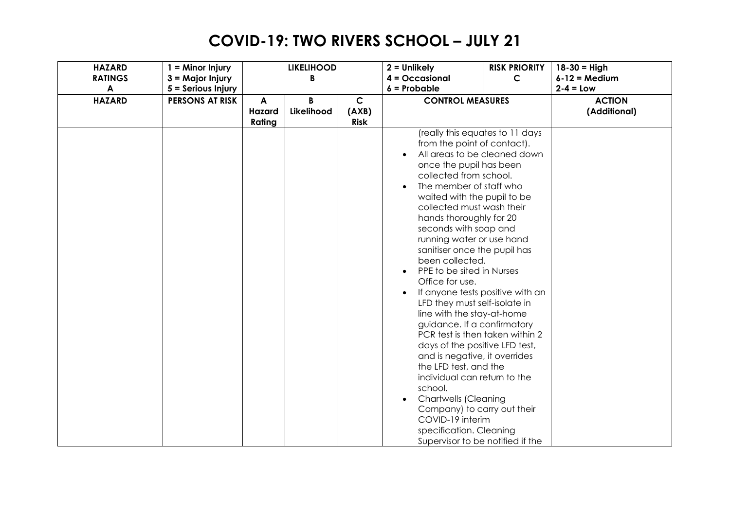| <b>HAZARD</b><br><b>RATINGS</b> | $1 =$ Minor Injury<br>3 = Major Injury |                       | <b>LIKELIHOOD</b><br>B |                                      | $2 =$ Unlikely<br>$4 = Occasional$                                                                                                                                                                                                                                                                                                                                                                                                                                                                                                                                                                                                                                                                                                                                                                                                                                                          | <b>RISK PRIORITY</b><br>$\mathsf{C}$ | $18 - 30 =$ High<br>$6-12$ = Medium |
|---------------------------------|----------------------------------------|-----------------------|------------------------|--------------------------------------|---------------------------------------------------------------------------------------------------------------------------------------------------------------------------------------------------------------------------------------------------------------------------------------------------------------------------------------------------------------------------------------------------------------------------------------------------------------------------------------------------------------------------------------------------------------------------------------------------------------------------------------------------------------------------------------------------------------------------------------------------------------------------------------------------------------------------------------------------------------------------------------------|--------------------------------------|-------------------------------------|
| A                               | 5 = Serious Injury                     |                       |                        |                                      | $6$ = Probable                                                                                                                                                                                                                                                                                                                                                                                                                                                                                                                                                                                                                                                                                                                                                                                                                                                                              |                                      | $2-4 = Low$                         |
| <b>HAZARD</b>                   | <b>PERSONS AT RISK</b>                 | A<br>Hazard<br>Rating | B<br>Likelihood        | $\mathsf{C}$<br>(AXB)<br><b>Risk</b> | <b>CONTROL MEASURES</b>                                                                                                                                                                                                                                                                                                                                                                                                                                                                                                                                                                                                                                                                                                                                                                                                                                                                     |                                      | <b>ACTION</b><br>(Additional)       |
|                                 |                                        |                       |                        |                                      | (really this equates to 11 days<br>from the point of contact).<br>All areas to be cleaned down<br>once the pupil has been<br>collected from school.<br>The member of staff who<br>waited with the pupil to be<br>collected must wash their<br>hands thoroughly for 20<br>seconds with soap and<br>running water or use hand<br>sanitiser once the pupil has<br>been collected.<br>PPE to be sited in Nurses<br>Office for use.<br>If anyone tests positive with an<br>LFD they must self-isolate in<br>line with the stay-at-home<br>guidance. If a confirmatory<br>PCR test is then taken within 2<br>days of the positive LFD test,<br>and is negative, it overrides<br>the LFD test, and the<br>individual can return to the<br>school.<br><b>Chartwells (Cleaning</b><br>Company) to carry out their<br>COVID-19 interim<br>specification. Cleaning<br>Supervisor to be notified if the |                                      |                                     |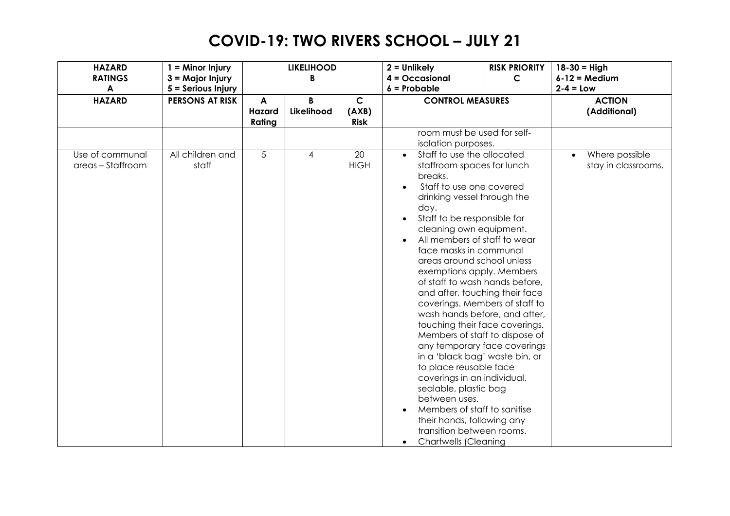| <b>HAZARD</b><br><b>RATINGS</b><br>$\blacktriangle$ | $1 =$ Minor Injury<br>$3 =$ Major Injury<br>5 = Serious Injury |                              | <b>LIKELIHOOD</b><br>B |                                      | $2 =$ Unlikely<br>$4 = Occasional$<br>$6$ = Probable                                                                                                                                                                                                                                                                                                                                                                                                                                                                                                                                                                                                                                                                                                                                                                            | <b>RISK PRIORITY</b><br>$\mathsf{C}$ | $18 - 30 =$ High<br>$6 - 12 = Medium$<br>$2-4 = Low$ |
|-----------------------------------------------------|----------------------------------------------------------------|------------------------------|------------------------|--------------------------------------|---------------------------------------------------------------------------------------------------------------------------------------------------------------------------------------------------------------------------------------------------------------------------------------------------------------------------------------------------------------------------------------------------------------------------------------------------------------------------------------------------------------------------------------------------------------------------------------------------------------------------------------------------------------------------------------------------------------------------------------------------------------------------------------------------------------------------------|--------------------------------------|------------------------------------------------------|
| <b>HAZARD</b>                                       | <b>PERSONS AT RISK</b>                                         | A<br><b>Hazard</b><br>Rating | B<br>Likelihood        | $\mathsf{C}$<br>(AXB)<br><b>Risk</b> | <b>CONTROL MEASURES</b>                                                                                                                                                                                                                                                                                                                                                                                                                                                                                                                                                                                                                                                                                                                                                                                                         |                                      | <b>ACTION</b><br>(Additional)                        |
|                                                     |                                                                |                              |                        |                                      | room must be used for self-<br>isolation purposes.                                                                                                                                                                                                                                                                                                                                                                                                                                                                                                                                                                                                                                                                                                                                                                              |                                      |                                                      |
| Use of communal<br>areas - Staffroom                | All children and<br>staff                                      | 5                            | 4                      | 20<br><b>HIGH</b>                    | Staff to use the allocated<br>staffroom spaces for lunch<br>breaks.<br>Staff to use one covered<br>drinking vessel through the<br>day.<br>Staff to be responsible for<br>cleaning own equipment.<br>All members of staff to wear<br>face masks in communal<br>areas around school unless<br>exemptions apply. Members<br>of staff to wash hands before,<br>and after, touching their face<br>coverings. Members of staff to<br>wash hands before, and after,<br>touching their face coverings.<br>Members of staff to dispose of<br>any temporary face coverings<br>in a 'black bag' waste bin, or<br>to place reusable face<br>coverings in an individual,<br>sealable, plastic bag<br>between uses.<br>Members of staff to sanitise<br>their hands, following any<br>transition between rooms.<br><b>Chartwells (Cleaning</b> |                                      | Where possible<br>stay in classrooms.                |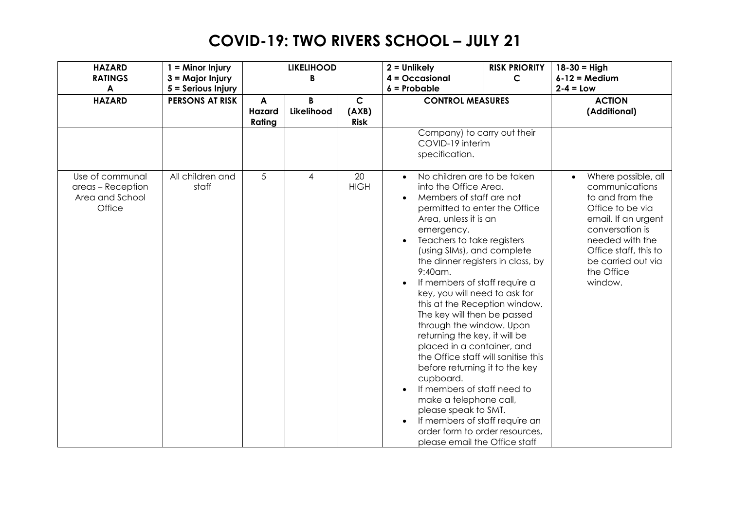| <b>HAZARD</b><br><b>RATINGS</b>                                   | $1 =$ Minor Injury<br>3 = Major Injury       |                       | <b>LIKELIHOOD</b><br>B |                                      | $2 =$ Unlikely<br>$4 = Occasional$                                                                                                                                                                                                                                                                                                                                                                                                                                                                                                                                                                                                                                                                                                                                            | <b>RISK PRIORITY</b><br>$\mathsf{C}$ | $18 - 30 =$ High<br>$6-12$ = Medium                                                                                                                                                                               |
|-------------------------------------------------------------------|----------------------------------------------|-----------------------|------------------------|--------------------------------------|-------------------------------------------------------------------------------------------------------------------------------------------------------------------------------------------------------------------------------------------------------------------------------------------------------------------------------------------------------------------------------------------------------------------------------------------------------------------------------------------------------------------------------------------------------------------------------------------------------------------------------------------------------------------------------------------------------------------------------------------------------------------------------|--------------------------------------|-------------------------------------------------------------------------------------------------------------------------------------------------------------------------------------------------------------------|
| A<br><b>HAZARD</b>                                                | 5 = Serious Injury<br><b>PERSONS AT RISK</b> | A<br>Hazard<br>Rating | Likelihood             | $\mathsf{C}$<br>(AXB)<br><b>Risk</b> | $6$ = Probable<br><b>CONTROL MEASURES</b>                                                                                                                                                                                                                                                                                                                                                                                                                                                                                                                                                                                                                                                                                                                                     |                                      | $2-4 = Low$<br><b>ACTION</b><br>(Additional)                                                                                                                                                                      |
|                                                                   |                                              |                       |                        |                                      | Company) to carry out their<br>COVID-19 interim<br>specification.                                                                                                                                                                                                                                                                                                                                                                                                                                                                                                                                                                                                                                                                                                             |                                      |                                                                                                                                                                                                                   |
| Use of communal<br>areas - Reception<br>Area and School<br>Office | All children and<br>staff                    | 5                     | 4                      | 20<br><b>HIGH</b>                    | No children are to be taken<br>into the Office Area.<br>Members of staff are not<br>permitted to enter the Office<br>Area, unless it is an<br>emergency.<br>Teachers to take registers<br>(using SIMs), and complete<br>the dinner registers in class, by<br>9:40am.<br>If members of staff require a<br>key, you will need to ask for<br>this at the Reception window.<br>The key will then be passed<br>through the window. Upon<br>returning the key, it will be<br>placed in a container, and<br>the Office staff will sanitise this<br>before returning it to the key<br>cupboard.<br>If members of staff need to<br>make a telephone call,<br>please speak to SMT.<br>If members of staff require an<br>order form to order resources,<br>please email the Office staff |                                      | Where possible, all<br>communications<br>to and from the<br>Office to be via<br>email. If an urgent<br>conversation is<br>needed with the<br>Office staff, this to<br>be carried out via<br>the Office<br>window. |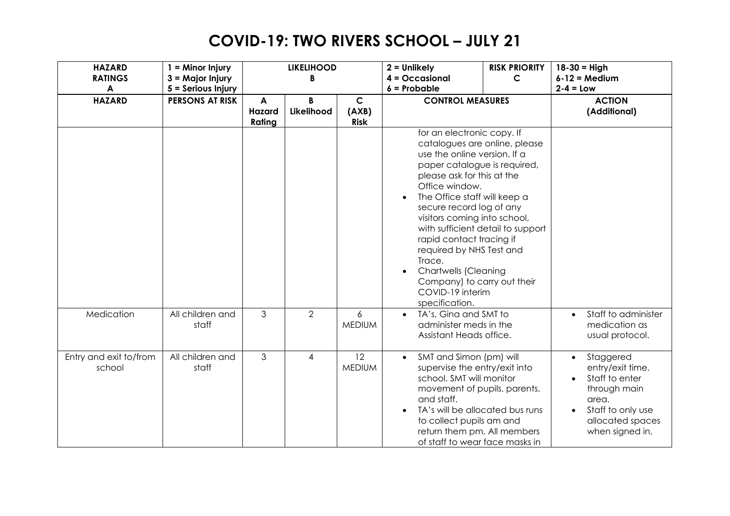| <b>HAZARD</b><br><b>RATINGS</b><br>$\blacktriangle$ | $1 =$ Minor Injury<br>$3 =$ Major Injury<br>5 = Serious Injury |                       | <b>LIKELIHOOD</b><br>B |                                     | $2 =$ Unlikely<br>$4 = Occasional$<br>$6$ = Probable                                                                                                                                                                                                                                                                                                                                                                                                                               | <b>RISK PRIORITY</b><br>C | $18 - 30 =$ High<br>$6 - 12 = Medium$<br>$2-4 = Low$                                                                                                           |
|-----------------------------------------------------|----------------------------------------------------------------|-----------------------|------------------------|-------------------------------------|------------------------------------------------------------------------------------------------------------------------------------------------------------------------------------------------------------------------------------------------------------------------------------------------------------------------------------------------------------------------------------------------------------------------------------------------------------------------------------|---------------------------|----------------------------------------------------------------------------------------------------------------------------------------------------------------|
| <b>HAZARD</b>                                       | <b>PERSONS AT RISK</b>                                         | A<br>Hazard<br>Rating | B<br>Likelihood        | $\mathbf C$<br>(AXB)<br><b>Risk</b> | <b>CONTROL MEASURES</b>                                                                                                                                                                                                                                                                                                                                                                                                                                                            |                           | <b>ACTION</b><br>(Additional)                                                                                                                                  |
|                                                     |                                                                |                       |                        |                                     | for an electronic copy. If<br>catalogues are online, please<br>use the online version. If a<br>paper catalogue is required,<br>please ask for this at the<br>Office window.<br>The Office staff will keep a<br>secure record log of any<br>visitors coming into school,<br>with sufficient detail to support<br>rapid contact tracing if<br>required by NHS Test and<br>Trace.<br><b>Chartwells (Cleaning</b><br>Company) to carry out their<br>COVID-19 interim<br>specification. |                           |                                                                                                                                                                |
| Medication                                          | All children and<br>staff                                      | 3                     | $\overline{2}$         | 6<br><b>MEDIUM</b>                  | TA's, Gina and SMT to<br>administer meds in the<br>Assistant Heads office.                                                                                                                                                                                                                                                                                                                                                                                                         |                           | Staff to administer<br>medication as<br>usual protocol.                                                                                                        |
| Entry and exit to/from<br>school                    | All children and<br>staff                                      | 3                     | 4                      | 12<br><b>MEDIUM</b>                 | SMT and Simon (pm) will<br>$\bullet$<br>supervise the entry/exit into<br>school. SMT will monitor<br>movement of pupils, parents,<br>and staff.<br>TA's will be allocated bus runs<br>to collect pupils am and<br>return them pm. All members<br>of staff to wear face masks in                                                                                                                                                                                                    |                           | Staggered<br>$\bullet$<br>entry/exit time.<br>Staff to enter<br>through main<br>area.<br>Staff to only use<br>$\bullet$<br>allocated spaces<br>when signed in. |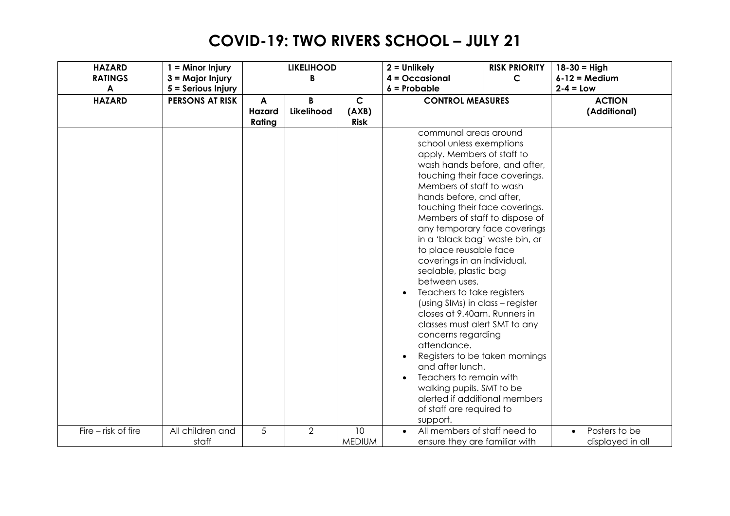| <b>HAZARD</b><br><b>RATINGS</b> | $1 =$ Minor Injury<br>$3 =$ Major Injury |                       | <b>LIKELIHOOD</b><br>B |                                      | $2 =$ Unlikely<br>$4 = Occasional$                                                                                                                                                                                                                                                                                                                                                                                                                                                                                                                                                                                                                                                                                                                                                                                 | <b>RISK PRIORITY</b><br>$\mathsf{C}$ | $18 - 30 =$ High<br>$6-12$ = Medium |
|---------------------------------|------------------------------------------|-----------------------|------------------------|--------------------------------------|--------------------------------------------------------------------------------------------------------------------------------------------------------------------------------------------------------------------------------------------------------------------------------------------------------------------------------------------------------------------------------------------------------------------------------------------------------------------------------------------------------------------------------------------------------------------------------------------------------------------------------------------------------------------------------------------------------------------------------------------------------------------------------------------------------------------|--------------------------------------|-------------------------------------|
| $\blacktriangle$                | 5 = Serious Injury                       | $6$ = Probable        |                        | $2-4 = Low$                          |                                                                                                                                                                                                                                                                                                                                                                                                                                                                                                                                                                                                                                                                                                                                                                                                                    |                                      |                                     |
| <b>HAZARD</b>                   | <b>PERSONS AT RISK</b>                   | A<br>Hazard<br>Rating | B<br>Likelihood        | $\mathsf{C}$<br>(AXB)<br><b>Risk</b> | <b>CONTROL MEASURES</b>                                                                                                                                                                                                                                                                                                                                                                                                                                                                                                                                                                                                                                                                                                                                                                                            |                                      | <b>ACTION</b><br>(Additional)       |
|                                 |                                          |                       |                        |                                      | communal areas around<br>school unless exemptions<br>apply. Members of staff to<br>wash hands before, and after,<br>touching their face coverings.<br>Members of staff to wash<br>hands before, and after,<br>touching their face coverings.<br>Members of staff to dispose of<br>any temporary face coverings<br>in a 'black bag' waste bin, or<br>to place reusable face<br>coverings in an individual,<br>sealable, plastic bag<br>between uses.<br>Teachers to take registers<br>(using SIMs) in class - register<br>closes at 9.40am. Runners in<br>classes must alert SMT to any<br>concerns regarding<br>attendance.<br>Registers to be taken mornings<br>and after lunch.<br>Teachers to remain with<br>walking pupils. SMT to be<br>alerted if additional members<br>of staff are required to<br>support. |                                      |                                     |
| Fire - risk of fire             | All children and<br>staff                | 5                     | $\overline{2}$         | 10<br><b>MEDIUM</b>                  | All members of staff need to<br>$\bullet$<br>ensure they are familiar with                                                                                                                                                                                                                                                                                                                                                                                                                                                                                                                                                                                                                                                                                                                                         |                                      | Posters to be<br>displayed in all   |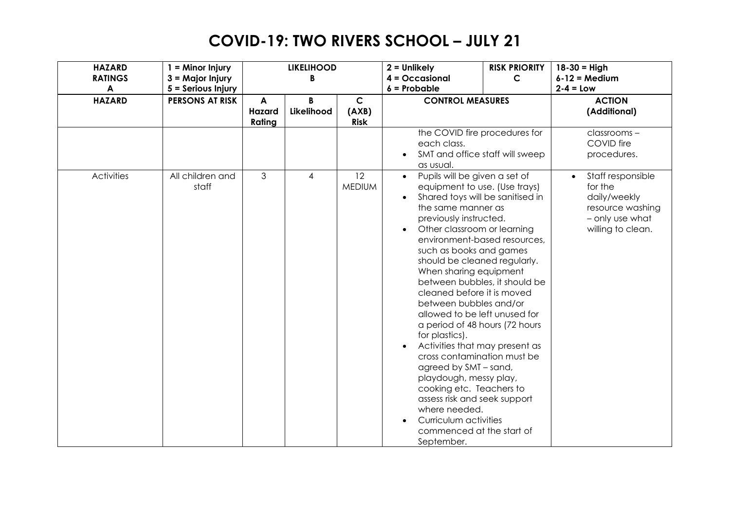| <b>HAZARD</b><br><b>RATINGS</b> | $1 =$ Minor Injury<br>3 = Major Injury       |                              | <b>LIKELIHOOD</b><br>B |                                      | $2 =$ Unlikely<br>$4 = Occasional$                                                                                                                                                                                                                                                                                                                                                                                                                                                                                                                                                                                                                                                                                                                                     | <b>RISK PRIORITY</b><br>$\mathsf{C}$ | $18 - 30 =$ High<br>$6-12$ = Medium                                                                      |
|---------------------------------|----------------------------------------------|------------------------------|------------------------|--------------------------------------|------------------------------------------------------------------------------------------------------------------------------------------------------------------------------------------------------------------------------------------------------------------------------------------------------------------------------------------------------------------------------------------------------------------------------------------------------------------------------------------------------------------------------------------------------------------------------------------------------------------------------------------------------------------------------------------------------------------------------------------------------------------------|--------------------------------------|----------------------------------------------------------------------------------------------------------|
| A<br><b>HAZARD</b>              | 5 = Serious Injury<br><b>PERSONS AT RISK</b> | A<br><b>Hazard</b><br>Rating | R<br>Likelihood        | $\mathsf{C}$<br>(AXB)<br><b>Risk</b> | $6$ = Probable<br><b>CONTROL MEASURES</b>                                                                                                                                                                                                                                                                                                                                                                                                                                                                                                                                                                                                                                                                                                                              |                                      | $2-4 = Low$<br><b>ACTION</b><br>(Additional)                                                             |
|                                 |                                              |                              |                        |                                      | the COVID fire procedures for<br>each class.<br>SMT and office staff will sweep<br>as usual.                                                                                                                                                                                                                                                                                                                                                                                                                                                                                                                                                                                                                                                                           |                                      | classrooms-<br>COVID fire<br>procedures.                                                                 |
| <b>Activities</b>               | All children and<br>staff                    | 3                            | 4                      | 12<br><b>MEDIUM</b>                  | Pupils will be given a set of<br>$\bullet$<br>equipment to use. (Use trays)<br>Shared toys will be sanitised in<br>the same manner as<br>previously instructed.<br>Other classroom or learning<br>environment-based resources,<br>such as books and games<br>should be cleaned regularly.<br>When sharing equipment<br>between bubbles, it should be<br>cleaned before it is moved<br>between bubbles and/or<br>allowed to be left unused for<br>a period of 48 hours (72 hours<br>for plastics).<br>Activities that may present as<br>cross contamination must be<br>agreed by SMT - sand,<br>playdough, messy play,<br>cooking etc. Teachers to<br>assess risk and seek support<br>where needed.<br>Curriculum activities<br>commenced at the start of<br>September. |                                      | Staff responsible<br>for the<br>daily/weekly<br>resource washing<br>- only use what<br>willing to clean. |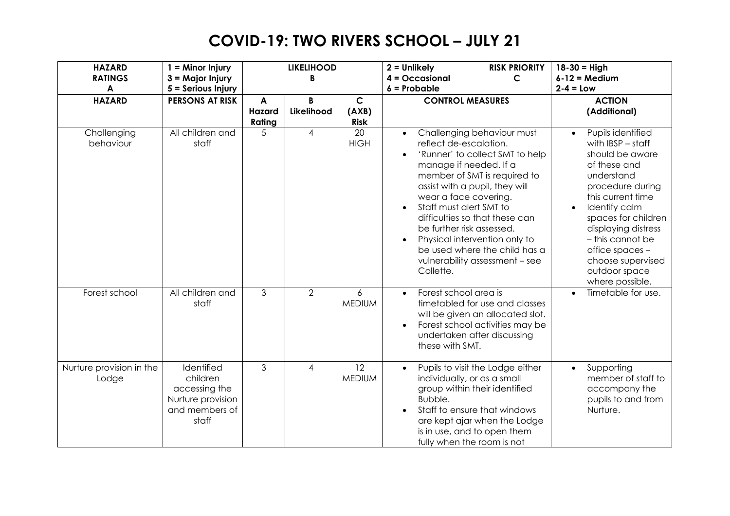| <b>HAZARD</b><br><b>RATINGS</b><br>$\boldsymbol{A}$ | $1 =$ Minor Injury<br>$3 =$ Major Injury<br>5 = Serious Injury                          |                              | <b>LIKELIHOOD</b><br>B |                                     | $2 =$ Unlikely<br>$4 = Occasional$<br>$6$ = Probable                                                                                                                                                                                                                                                                                                                                                                                                           | <b>RISK PRIORITY</b><br>$\mathsf{C}$ | $18 - 30 = High$<br>$6 - 12 = Medium$<br>$2 - 4 = Low$                                                                                                                                                                                                                                            |
|-----------------------------------------------------|-----------------------------------------------------------------------------------------|------------------------------|------------------------|-------------------------------------|----------------------------------------------------------------------------------------------------------------------------------------------------------------------------------------------------------------------------------------------------------------------------------------------------------------------------------------------------------------------------------------------------------------------------------------------------------------|--------------------------------------|---------------------------------------------------------------------------------------------------------------------------------------------------------------------------------------------------------------------------------------------------------------------------------------------------|
| <b>HAZARD</b>                                       | <b>PERSONS AT RISK</b>                                                                  | A<br><b>Hazard</b><br>Rating | B<br>Likelihood        | $\mathbf C$<br>(AXB)<br><b>Risk</b> | <b>CONTROL MEASURES</b>                                                                                                                                                                                                                                                                                                                                                                                                                                        |                                      | <b>ACTION</b><br>(Additional)                                                                                                                                                                                                                                                                     |
| Challenging<br>behaviour                            | All children and<br>staff                                                               | 5                            | 4                      | 20<br><b>HIGH</b>                   | Challenging behaviour must<br>$\bullet$<br>reflect de-escalation.<br>'Runner' to collect SMT to help<br>$\bullet$<br>manage if needed. If a<br>member of SMT is required to<br>assist with a pupil, they will<br>wear a face covering.<br>Staff must alert SMT to<br>$\bullet$<br>difficulties so that these can<br>be further risk assessed.<br>Physical intervention only to<br>be used where the child has a<br>vulnerability assessment - see<br>Collette. |                                      | Pupils identified<br>with $IBSP - staff$<br>should be aware<br>of these and<br>understand<br>procedure during<br>this current time<br>Identify calm<br>spaces for children<br>displaying distress<br>- this cannot be<br>office spaces -<br>choose supervised<br>outdoor space<br>where possible. |
| Forest school                                       | All children and<br>staff                                                               | $\mathfrak{Z}$               | 2                      | $\overline{6}$<br><b>MEDIUM</b>     | Forest school area is<br>$\bullet$<br>timetabled for use and classes<br>will be given an allocated slot.<br>Forest school activities may be<br>undertaken after discussing<br>these with SMT.                                                                                                                                                                                                                                                                  |                                      | Timetable for use.                                                                                                                                                                                                                                                                                |
| Nurture provision in the<br>Lodge                   | Identified<br>children<br>accessing the<br>Nurture provision<br>and members of<br>staff | 3                            | 4                      | 12<br><b>MEDIUM</b>                 | Pupils to visit the Lodge either<br>$\bullet$<br>individually, or as a small<br>group within their identified<br>Bubble.<br>Staff to ensure that windows<br>$\bullet$<br>are kept ajar when the Lodge<br>is in use, and to open them<br>fully when the room is not                                                                                                                                                                                             |                                      | Supporting<br>$\bullet$<br>member of staff to<br>accompany the<br>pupils to and from<br>Nurture.                                                                                                                                                                                                  |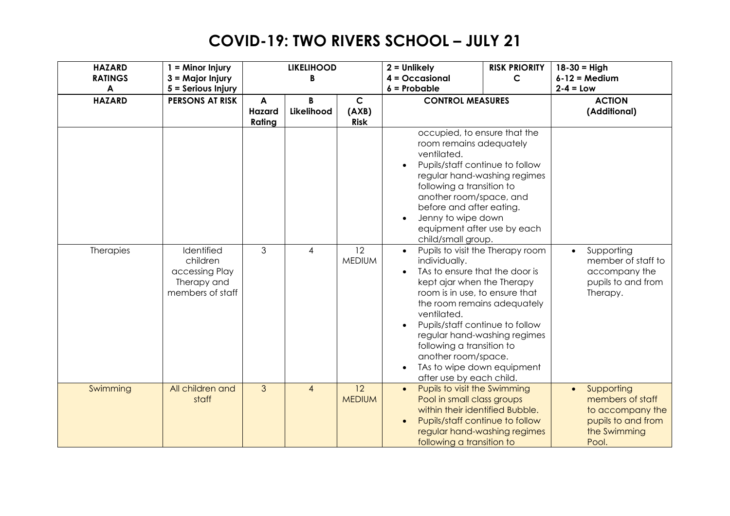| <b>HAZARD</b><br><b>RATINGS</b><br>$\blacktriangle$ | $1 =$ Minor Injury<br>3 = Major Injury<br>5 = Serious Injury                |                       | <b>LIKELIHOOD</b><br>R |                                     | $2 =$ Unlikely<br>$4 = Occasional$<br>$6$ = Probable                                                                                                                                                                                                                                                                                                                                                                                                                                                                                                                                                                                    | <b>RISK PRIORITY</b><br>C | $18 - 30 =$ High<br>$6-12$ = Medium<br>$2 - 4 = Low$                                                           |
|-----------------------------------------------------|-----------------------------------------------------------------------------|-----------------------|------------------------|-------------------------------------|-----------------------------------------------------------------------------------------------------------------------------------------------------------------------------------------------------------------------------------------------------------------------------------------------------------------------------------------------------------------------------------------------------------------------------------------------------------------------------------------------------------------------------------------------------------------------------------------------------------------------------------------|---------------------------|----------------------------------------------------------------------------------------------------------------|
| <b>HAZARD</b>                                       | <b>PERSONS AT RISK</b>                                                      | A<br>Hazard<br>Rating | B<br>Likelihood        | $\mathbf C$<br>(AXB)<br><b>Risk</b> | <b>CONTROL MEASURES</b>                                                                                                                                                                                                                                                                                                                                                                                                                                                                                                                                                                                                                 |                           | <b>ACTION</b><br>(Additional)                                                                                  |
| Therapies                                           | Identified<br>children<br>accessing Play<br>Therapy and<br>members of staff | 3                     | 4                      | $\overline{12}$<br><b>MEDIUM</b>    | occupied, to ensure that the<br>room remains adequately<br>ventilated.<br>Pupils/staff continue to follow<br>regular hand-washing regimes<br>following a transition to<br>another room/space, and<br>before and after eating.<br>Jenny to wipe down<br>$\bullet$<br>equipment after use by each<br>child/small group.<br>Pupils to visit the Therapy room<br>individually.<br>TAs to ensure that the door is<br>kept ajar when the Therapy<br>room is in use, to ensure that<br>the room remains adequately<br>ventilated.<br>Pupils/staff continue to follow<br>$\bullet$<br>regular hand-washing regimes<br>following a transition to |                           | Supporting<br>$\bullet$<br>member of staff to<br>accompany the<br>pupils to and from<br>Therapy.               |
|                                                     |                                                                             |                       |                        |                                     | another room/space.<br>TAs to wipe down equipment<br>$\bullet$<br>after use by each child.                                                                                                                                                                                                                                                                                                                                                                                                                                                                                                                                              |                           |                                                                                                                |
| Swimming                                            | All children and<br>staff                                                   | $\overline{3}$        | $\overline{4}$         | 12<br><b>MEDIUM</b>                 | Pupils to visit the Swimming<br>$\bullet$<br>Pool in small class groups<br>within their identified Bubble.<br>Pupils/staff continue to follow<br>regular hand-washing regimes<br>following a transition to                                                                                                                                                                                                                                                                                                                                                                                                                              |                           | Supporting<br>$\bullet$<br>members of staff<br>to accompany the<br>pupils to and from<br>the Swimming<br>Pool. |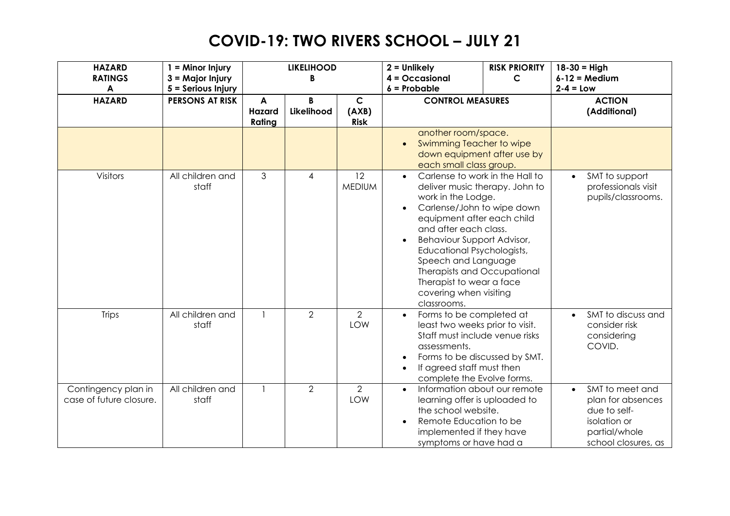| <b>HAZARD</b><br><b>RATINGS</b><br>$\boldsymbol{A}$ | $1 =$ Minor Injury<br>$3 =$ Major Injury     |                       | <b>LIKELIHOOD</b><br>B |                                      | $2 =$ Unlikely<br>$4 = Occasional$<br>$6$ = Probable                                                                                                                                                                                                                                                                                                              | <b>RISK PRIORITY</b><br>$\mathsf{C}$ | $18 - 30 =$ High<br>$6 - 12 = Medium$<br>$2-4 = Low$                                                                      |
|-----------------------------------------------------|----------------------------------------------|-----------------------|------------------------|--------------------------------------|-------------------------------------------------------------------------------------------------------------------------------------------------------------------------------------------------------------------------------------------------------------------------------------------------------------------------------------------------------------------|--------------------------------------|---------------------------------------------------------------------------------------------------------------------------|
| <b>HAZARD</b>                                       | 5 = Serious Injury<br><b>PERSONS AT RISK</b> | A<br>Hazard<br>Rating | B<br>Likelihood        | $\mathsf{C}$<br>(AXB)<br><b>Risk</b> | <b>CONTROL MEASURES</b>                                                                                                                                                                                                                                                                                                                                           |                                      | <b>ACTION</b><br>(Additional)                                                                                             |
|                                                     |                                              |                       |                        |                                      | another room/space.<br>Swimming Teacher to wipe<br>$\bullet$<br>down equipment after use by<br>each small class group.                                                                                                                                                                                                                                            |                                      |                                                                                                                           |
| Visitors                                            | All children and<br>staff                    | 3                     | 4                      | 12<br><b>MEDIUM</b>                  | Carlense to work in the Hall to<br>$\bullet$<br>deliver music therapy. John to<br>work in the Lodge.<br>Carlense/John to wipe down<br>equipment after each child<br>and after each class.<br>Behaviour Support Advisor,<br>Educational Psychologists,<br>Speech and Language<br>Therapists and Occupational<br>Therapist to wear a face<br>covering when visiting |                                      | SMT to support<br>professionals visit<br>pupils/classrooms.                                                               |
| <b>Trips</b>                                        | All children and<br>staff                    |                       | $\overline{2}$         | $\overline{2}$<br>LOW                | classrooms.<br>Forms to be completed at<br>$\bullet$<br>least two weeks prior to visit.<br>Staff must include venue risks<br>assessments.<br>Forms to be discussed by SMT.<br>If agreed staff must then<br>$\bullet$<br>complete the Evolve forms.                                                                                                                |                                      | SMT to discuss and<br>consider risk<br>considering<br>COVID.                                                              |
| Contingency plan in<br>case of future closure.      | All children and<br>staff                    | $\mathbf{1}$          | $\overline{2}$         | $\overline{2}$<br>LOW                | Information about our remote<br>$\bullet$<br>learning offer is uploaded to<br>the school website.<br>Remote Education to be<br>$\bullet$<br>implemented if they have<br>symptoms or have had a                                                                                                                                                                    |                                      | SMT to meet and<br>$\bullet$<br>plan for absences<br>due to self-<br>isolation or<br>partial/whole<br>school closures, as |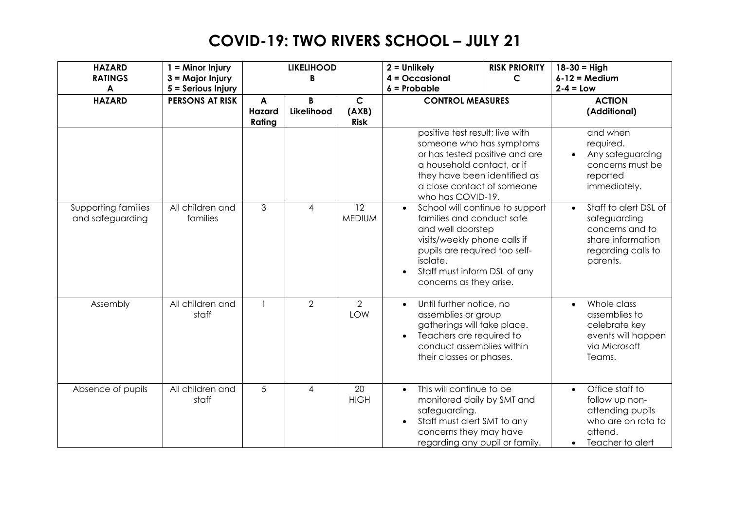| <b>HAZARD</b><br><b>RATINGS</b><br>$\boldsymbol{A}$ | $1 =$ Minor Injury<br>3 = Major Injury<br>5 = Serious Injury | <b>RISK PRIORITY</b><br><b>LIKELIHOOD</b><br>$2 =$ Unlikely<br>$4 = Occasional$<br>$\mathsf{C}$<br>B<br>$6$ = Probable |                 | $18 - 30 =$ High<br>$6 - 12 = Medium$<br>$2 - 4 = Low$ |                                                                                                                                                                                                                                           |                                 |                                                                                                                              |
|-----------------------------------------------------|--------------------------------------------------------------|------------------------------------------------------------------------------------------------------------------------|-----------------|--------------------------------------------------------|-------------------------------------------------------------------------------------------------------------------------------------------------------------------------------------------------------------------------------------------|---------------------------------|------------------------------------------------------------------------------------------------------------------------------|
| <b>HAZARD</b>                                       | <b>PERSONS AT RISK</b>                                       | A<br>Hazard<br>Rating                                                                                                  | B<br>Likelihood | $\mathbf C$<br>(AXB)<br><b>Risk</b>                    | <b>CONTROL MEASURES</b><br>positive test result; live with<br>someone who has symptoms<br>or has tested positive and are<br>a household contact, or if<br>they have been identified as<br>a close contact of someone<br>who has COVID-19. |                                 | <b>ACTION</b><br>(Additional)                                                                                                |
|                                                     |                                                              |                                                                                                                        |                 |                                                        |                                                                                                                                                                                                                                           |                                 | and when<br>required.<br>Any safeguarding<br>concerns must be<br>reported<br>immediately.                                    |
| Supporting families<br>and safeguarding             | All children and<br>families                                 | 3                                                                                                                      | 4               | 12<br><b>MEDIUM</b>                                    | $\bullet$<br>families and conduct safe<br>and well doorstep<br>visits/weekly phone calls if<br>pupils are required too self-<br>isolate.<br>Staff must inform DSL of any<br>$\bullet$<br>concerns as they arise.                          | School will continue to support | Staff to alert DSL of<br>$\bullet$<br>safeguarding<br>concerns and to<br>share information<br>regarding calls to<br>parents. |
| Assembly                                            | All children and<br>staff                                    |                                                                                                                        | $\overline{2}$  | $\overline{2}$<br><b>LOW</b>                           | Until further notice, no<br>$\bullet$<br>assemblies or group<br>gatherings will take place.<br>Teachers are required to<br>$\bullet$<br>conduct assemblies within<br>their classes or phases.                                             |                                 | Whole class<br>assemblies to<br>celebrate key<br>events will happen<br>via Microsoft<br>Teams.                               |
| Absence of pupils                                   | All children and<br>staff                                    | 5                                                                                                                      | 4               | 20<br><b>HIGH</b>                                      | This will continue to be<br>$\bullet$<br>monitored daily by SMT and<br>safeguarding.<br>Staff must alert SMT to any<br>concerns they may have<br>regarding any pupil or family.                                                           |                                 | Office staff to<br>$\bullet$<br>follow up non-<br>attending pupils<br>who are on rota to<br>attend.<br>Teacher to alert      |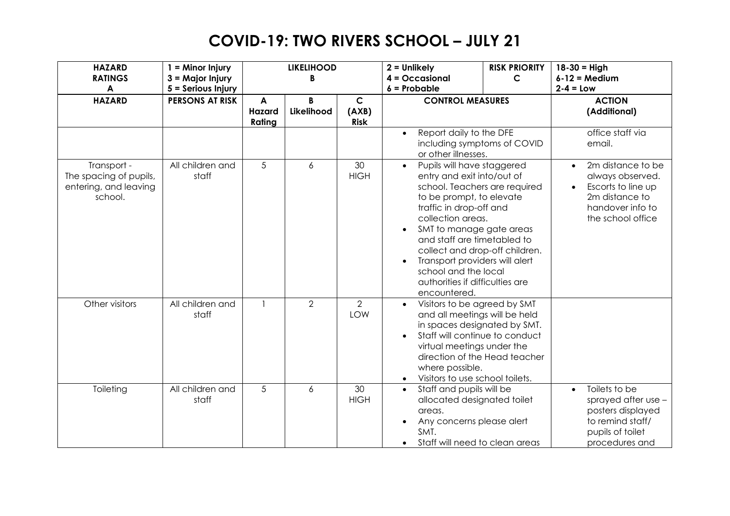| <b>HAZARD</b><br><b>RATINGS</b><br>$\boldsymbol{A}$                       | $1 =$ Minor Injury<br>3 = Major Injury<br>5 = Serious Injury |                       | <b>LIKELIHOOD</b><br>B |                                      | $2 =$ Unlikely<br>$4 = Occasional$<br>$6$ = Probable                                                                                                                                                                                                                                                                                                                                         | <b>RISK PRIORITY</b><br>$\mathsf{C}$ | $18 - 30 =$ High<br>$6 - 12 = Medium$<br>$2 - 4 = Low$                                                                             |
|---------------------------------------------------------------------------|--------------------------------------------------------------|-----------------------|------------------------|--------------------------------------|----------------------------------------------------------------------------------------------------------------------------------------------------------------------------------------------------------------------------------------------------------------------------------------------------------------------------------------------------------------------------------------------|--------------------------------------|------------------------------------------------------------------------------------------------------------------------------------|
| <b>HAZARD</b>                                                             | <b>PERSONS AT RISK</b>                                       | A<br>Hazard<br>Rating | B<br>Likelihood        | $\mathsf{C}$<br>(AXB)<br><b>Risk</b> | <b>CONTROL MEASURES</b>                                                                                                                                                                                                                                                                                                                                                                      |                                      | <b>ACTION</b><br>(Additional)                                                                                                      |
|                                                                           |                                                              |                       |                        |                                      | Report daily to the DFE<br>$\bullet$<br>including symptoms of COVID<br>or other illnesses.                                                                                                                                                                                                                                                                                                   |                                      | office staff via<br>email.                                                                                                         |
| Transport -<br>The spacing of pupils,<br>entering, and leaving<br>school. | All children and<br>staff                                    | 5                     | 6                      | 30<br><b>HIGH</b>                    | Pupils will have staggered<br>$\bullet$<br>entry and exit into/out of<br>school. Teachers are required<br>to be prompt, to elevate<br>traffic in drop-off and<br>collection areas.<br>SMT to manage gate areas<br>and staff are timetabled to<br>collect and drop-off children.<br>Transport providers will alert<br>school and the local<br>authorities if difficulties are<br>encountered. |                                      | 2m distance to be<br>always observed.<br>Escorts to line up<br>2m distance to<br>handover info to<br>the school office             |
| Other visitors                                                            | All children and<br>staff                                    |                       | $\overline{2}$         | $\overline{2}$<br>LOW                | Visitors to be agreed by SMT<br>$\bullet$<br>and all meetings will be held<br>in spaces designated by SMT.<br>Staff will continue to conduct<br>$\bullet$<br>virtual meetings under the<br>direction of the Head teacher<br>where possible.<br>Visitors to use school toilets.<br>$\bullet$                                                                                                  |                                      |                                                                                                                                    |
| Toileting                                                                 | All children and<br>staff                                    | 5                     | 6                      | 30<br><b>HIGH</b>                    | Staff and pupils will be<br>$\bullet$<br>allocated designated toilet<br>areas.<br>Any concerns please alert<br>SMT.<br>Staff will need to clean areas                                                                                                                                                                                                                                        |                                      | Toilets to be<br>$\bullet$<br>sprayed after $use -$<br>posters displayed<br>to remind staff/<br>pupils of toilet<br>procedures and |